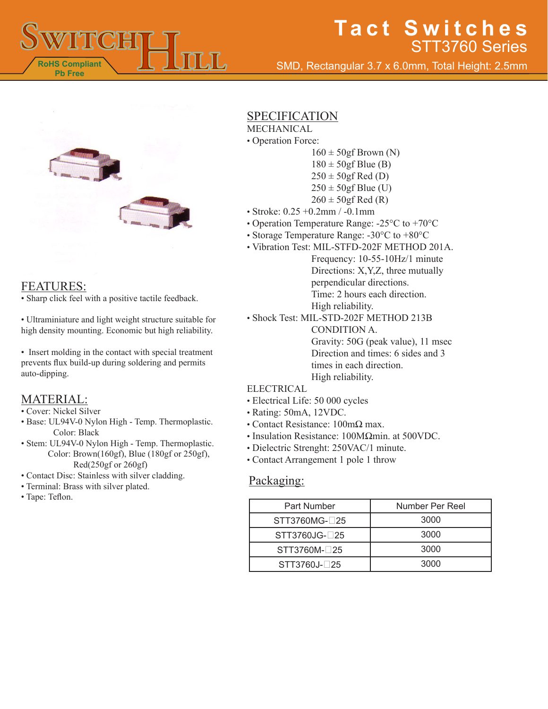

# **Tact Switches** STT3760 Series

SMD, Rectangular 3.7 x 6.0mm, Total Height: 2.5mm



### FEATURES:

• Sharp click feel with a positive tactile feedback.

• Ultraminiature and light weight structure suitable for high density mounting. Economic but high reliability.

• Insert molding in the contact with special treatment prevents flux build-up during soldering and permits auto-dipping.

### MATERIAL:

- Cover: Nickel Silver
- Base: UL94V-0 Nylon High Temp. Thermoplastic. Color: Black
- Stem: UL94V-0 Nylon High Temp. Thermoplastic. Color: Brown(160gf), Blue (180gf or 250gf), Red(250gf or 260gf)
- Contact Disc: Stainless with silver cladding.
- Terminal: Brass with silver plated.
- Tape: Teflon.

### **SPECIFICATION**

- MECHANICAL
- Operation Force:
	- $160 \pm 50$ gf Brown (N)  $180 \pm 50$ gf Blue (B)  $250 \pm 50$ gf Red (D)  $250 \pm 50$ gf Blue (U)  $260 \pm 50$ gf Red (R)
- Stroke: 0.25 +0.2mm / -0.1mm
- Operation Temperature Range: -25°C to +70°C
- Storage Temperature Range: -30°C to +80°C
- Vibration Test: MIL-STFD-202F METHOD 201A.
	- Frequency: 10-55-10Hz/1 minute Directions: X,Y,Z, three mutually perpendicular directions. Time: 2 hours each direction. High reliability.
	- Shock Test: MIL-STD-202F METHOD 213B CONDITION A. Gravity: 50G (peak value), 11 msec Direction and times: 6 sides and 3 times in each direction. High reliability.

#### ELECTRICAL

- Electrical Life: 50 000 cycles
- Rating: 50mA, 12VDC.
- Contact Resistance: 100mΩ max.
- Insulation Resistance: 100MΩmin. at 500VDC.
- Dielectric Strenght: 250VAC/1 minute.
- Contact Arrangement 1 pole 1 throw

#### Packaging:

| Part Number    | Number Per Reel |
|----------------|-----------------|
| STT3760MG-□25  | 3000            |
| STT3760JG-□25  | 3000            |
| STT3760M-125   | 3000            |
| $STT3760J-T25$ | 3000            |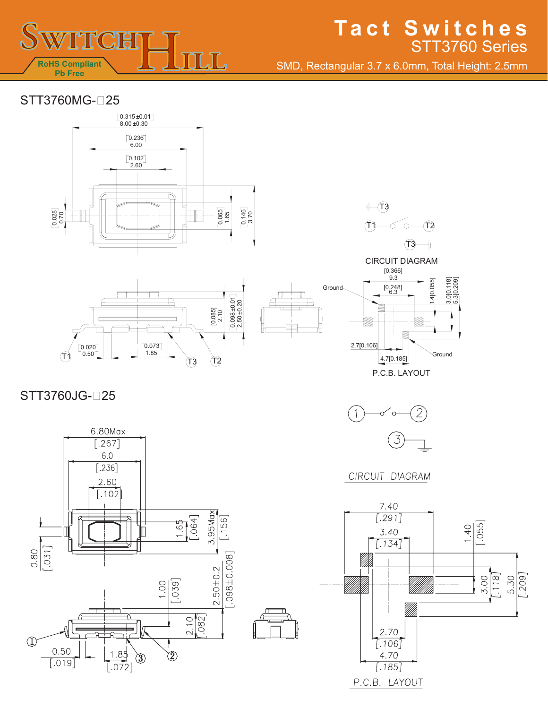

# **Tact Switches** STT3760 Series

SMD, Rectangular 3.7 x 6.0mm, Total Height: 2.5mm

## STT3760MG-∩25











## STT3760JG-□25





CIRCUIT DIAGRAM

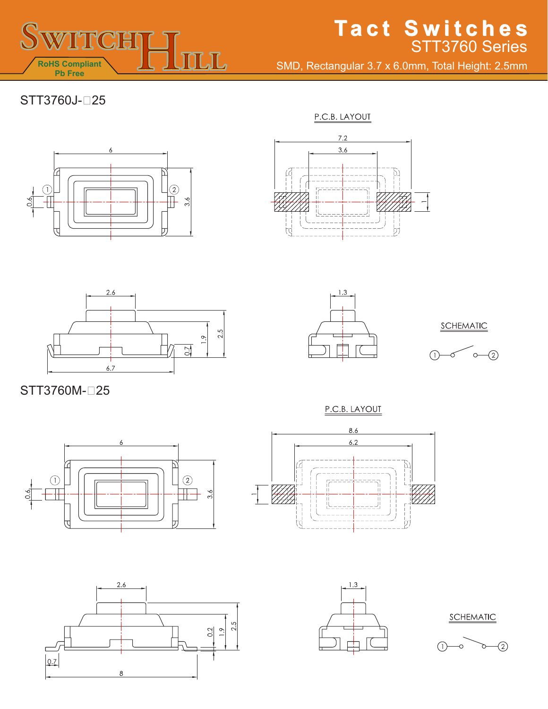

# **Tact Switches Tact Switches**STT3760 Series

SMD, Rectangular 3.7 x 6.0mm, Total Height: 2.5mm

## STT3760J-25

P.C.B. LAYOUT









SCHEMATIC



STT3760M-□25

P.C.B. LAYOUT









SCHEMATIC